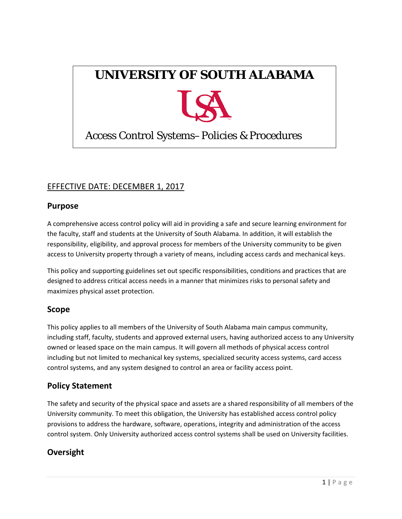# **UNIVERSITY OF SOUTH ALABAMA**



# Access Control Systems–Policies & Procedures

# EFFECTIVE DATE: DECEMBER 1, 2017

## **Purpose**

 responsibility, eligibility, and approval process for members of the University community to be given A comprehensive access control policy will aid in providing a safe and secure learning environment for the faculty, staff and students at the University of South Alabama. In addition, it will establish the access to University property through a variety of means, including access cards and mechanical keys.

This policy and supporting guidelines set out specific responsibilities, conditions and practices that are designed to address critical access needs in a manner that minimizes risks to personal safety and maximizes physical asset protection.

## **Scope**

 This policy applies to all members of the University of South Alabama main campus community, including staff, faculty, students and approved external users, having authorized access to any University owned or leased space on the main campus. It will govern all methods of physical access control including but not limited to mechanical key systems, specialized security access systems, card access control systems, and any system designed to control an area or facility access point.

# **Policy Statement**

 University community. To meet this obligation, the University has established access control policy The safety and security of the physical space and assets are a shared responsibility of all members of the provisions to address the hardware, software, operations, integrity and administration of the access control system. Only University authorized access control systems shall be used on University facilities.

# **Oversight**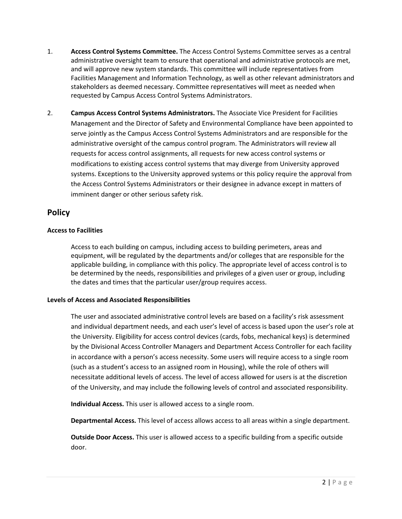- administrative oversight team to ensure that operational and administrative protocols are met, stakeholders as deemed necessary. Committee representatives will meet as needed when 1. **Access Control Systems Committee.** The Access Control Systems Committee serves as a central and will approve new system standards. This committee will include representatives from Facilities Management and Information Technology, as well as other relevant administrators and requested by Campus Access Control Systems Administrators.
- Management and the Director of Safety and Environmental Compliance have been appointed to administrative oversight of the campus control program. The Administrators will review all requests for access control assignments, all requests for new access control systems or imminent danger or other serious safety risk. 2. **Campus Access Control Systems Administrators.** The Associate Vice President for Facilities serve jointly as the Campus Access Control Systems Administrators and are responsible for the modifications to existing access control systems that may diverge from University approved systems. Exceptions to the University approved systems or this policy require the approval from the Access Control Systems Administrators or their designee in advance except in matters of

## **Policy**

#### **Access to Facilities**

 applicable building, in compliance with this policy. The appropriate level of access control is to Access to each building on campus, including access to building perimeters, areas and equipment, will be regulated by the departments and/or colleges that are responsible for the be determined by the needs, responsibilities and privileges of a given user or group, including the dates and times that the particular user/group requires access.

#### **Levels of Access and Associated Responsibilities**

 The user and associated administrative control levels are based on a facility's risk assessment in accordance with a person's access necessity. Some users will require access to a single room (such as a student's access to an assigned room in Housing), while the role of others will and individual department needs, and each user's level of access is based upon the user's role at the University. Eligibility for access control devices (cards, fobs, mechanical keys) is determined by the Divisional Access Controller Managers and Department Access Controller for each facility necessitate additional levels of access. The level of access allowed for users is at the discretion of the University, and may include the following levels of control and associated responsibility.

**Individual Access.** This user is allowed access to a single room.

**Departmental Access.** This level of access allows access to all areas within a single department.

**Outside Door Access.** This user is allowed access to a specific building from a specific outside door.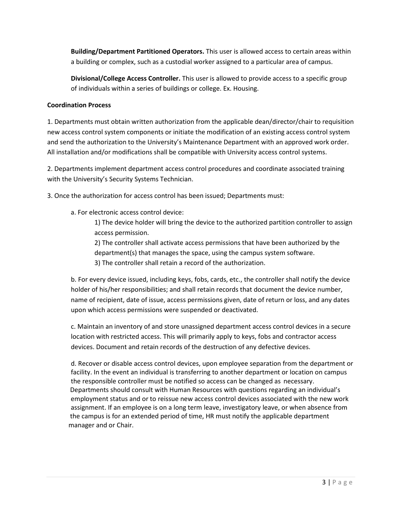**Building/Department Partitioned Operators.** This user is allowed access to certain areas within a building or complex, such as a custodial worker assigned to a particular area of campus.

 of individuals within a series of buildings or college. Ex. Housing. **Divisional/College Access Controller.** This user is allowed to provide access to a specific group

#### **Coordination Process**

 1. Departments must obtain written authorization from the applicable dean/director/chair to requisition and send the authorization to the University's Maintenance Department with an approved work order. new access control system components or initiate the modification of an existing access control system All installation and/or modifications shall be compatible with University access control systems.

 with the University's Security Systems Technician. 2. Departments implement department access control procedures and coordinate associated training

3. Once the authorization for access control has been issued; Departments must:

a. For electronic access control device:

1) The device holder will bring the device to the authorized partition controller to assign access permission.

2) The controller shall activate access permissions that have been authorized by the department(s) that manages the space, using the campus system software.

3) The controller shall retain a record of the authorization.

 b. For every device issued, including keys, fobs, cards, etc., the controller shall notify the device upon which access permissions were suspended or deactivated. holder of his/her responsibilities; and shall retain records that document the device number, name of recipient, date of issue, access permissions given, date of return or loss, and any dates

c. Maintain an inventory of and store unassigned department access control devices in a secure location with restricted access. This will primarily apply to keys, fobs and contractor access devices. Document and retain records of the destruction of any defective devices.

 the responsible controller must be notified so access can be changed as necessary. employment status and or to reissue new access control devices associated with the new work assignment. If an employee is on a long term leave, investigatory leave, or when absence from d. Recover or disable access control devices, upon employee separation from the department or facility. In the event an individual is transferring to another department or location on campus Departments should consult with Human Resources with questions regarding an individual's the campus is for an extended period of time, HR must notify the applicable department manager and or Chair.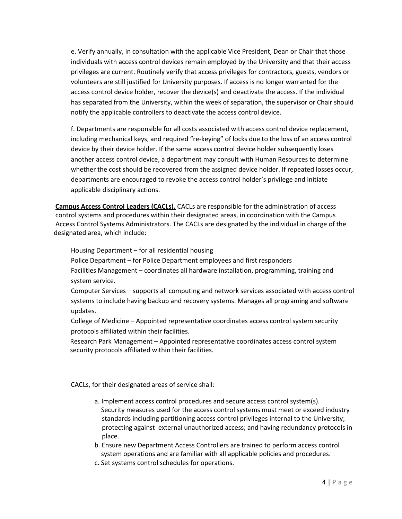e. Verify annually, in consultation with the applicable Vice President, Dean or Chair that those privileges are current. Routinely verify that access privileges for contractors, guests, vendors or individuals with access control devices remain employed by the University and that their access volunteers are still justified for University purposes. If access is no longer warranted for the access control device holder, recover the device(s) and deactivate the access. If the individual has separated from the University, within the week of separation, the supervisor or Chair should notify the applicable controllers to deactivate the access control device.

 f. Departments are responsible for all costs associated with access control device replacement, including mechanical keys, and required "re-keying" of locks due to the loss of an access control whether the cost should be recovered from the assigned device holder. If repeated losses occur, device by their device holder. If the same access control device holder subsequently loses another access control device, a department may consult with Human Resources to determine departments are encouraged to revoke the access control holder's privilege and initiate applicable disciplinary actions.

**Campus Access Control Leaders (CACLs).** CACLs are responsible for the administration of access control systems and procedures within their designated areas, in coordination with the Campus Access Control Systems Administrators. The CACLs are designated by the individual in charge of the designated area, which include:

Housing Department – for all residential housing

Police Department – for Police Department employees and first responders

Police Department – for Police Department employees and first responders<br>Facilities Management – coordinates all hardware installation, programming, training and system service.

updates. Computer Services – supports all computing and network services associated with access control systems to include having backup and recovery systems. Manages all programing and software

College of Medicine – Appointed representative coordinates access control system security protocols affiliated within their facilities.

Research Park Management – Appointed representative coordinates access control system security protocols affiliated within their facilities.

CACLs, for their designated areas of service shall:

- a. Implement access control procedures and secure access control system(s). Security measures used for the access control systems must meet or exceed industry standards including partitioning access control privileges internal to the University; protecting against external unauthorized access; and having redundancy protocols in place.
- b. Ensure new Department Access Controllers are trained to perform access control system operations and are familiar with all applicable policies and procedures.
- c. Set systems control schedules for operations.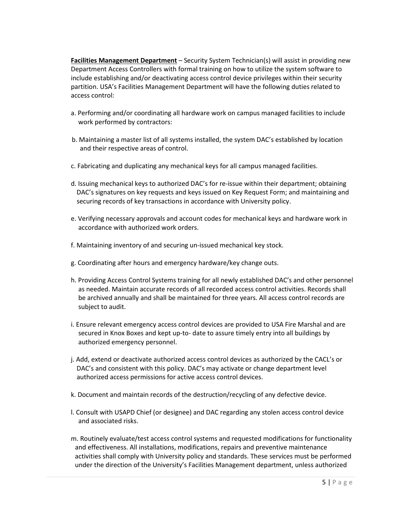**Facilities Management Department** – Security System Technician(s) will assist in providing new Department Access Controllers with formal training on how to utilize the system software to partition. USA's Facilities Management Department will have the following duties related to include establishing and/or deactivating access control device privileges within their security access control:

- a. Performing and/or coordinating all hardware work on campus managed facilities to include work performed by contractors:
- b. Maintaining a master list of all systems installed, the system DAC's established by location and their respective areas of control.
- c. Fabricating and duplicating any mechanical keys for all campus managed facilities.
- d. Issuing mechanical keys to authorized DAC's for re-issue within their department; obtaining DAC's signatures on key requests and keys issued on Key Request Form; and maintaining and securing records of key transactions in accordance with University policy.
- e. Verifying necessary approvals and account codes for mechanical keys and hardware work in accordance with authorized work orders.
- f. Maintaining inventory of and securing un-issued mechanical key stock.
- g. Coordinating after hours and emergency hardware/key change outs.
- h. Providing Access Control Systems training for all newly established DAC's and other personnel as needed. Maintain accurate records of all recorded access control activities. Records shall be archived annually and shall be maintained for three years. All access control records are subject to audit.
- i. Ensure relevant emergency access control devices are provided to USA Fire Marshal and are secured in Knox Boxes and kept up-to- date to assure timely entry into all buildings by authorized emergency personnel.
- j. Add, extend or deactivate authorized access control devices as authorized by the CACL's or DAC's and consistent with this policy. DAC's may activate or change department level authorized access permissions for active access control devices.
- k. Document and maintain records of the destruction/recycling of any defective device.
- l. Consult with USAPD Chief (or designee) and DAC regarding any stolen access control device and associated risks.
- m. Routinely evaluate/test access control systems and requested modifications for functionality and effectiveness. All installations, modifications, repairs and preventive maintenance activities shall comply with University policy and standards. These services must be performed under the direction of the University's Facilities Management department, unless authorized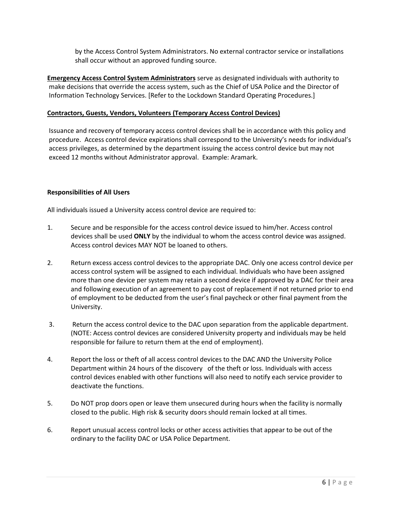by the Access Control System Administrators. No external contractor service or installations shall occur without an approved funding source.

 make decisions that override the access system, such as the Chief of USA Police and the Director of **Emergency Access Control System Administrators** serve as designated individuals with authority to Information Technology Services. [Refer to the Lockdown Standard Operating Procedures.]

#### **Contractors, Guests, Vendors, Volunteers (Temporary Access Control Devices)**

procedure. Access control device expirations shall correspond to the University's needs for individual's access privileges, as determined by the department issuing the access control device but may not access privileges, as determined by the department issuing the access control device but may not exceed 12 months without Administrator approval. Example: Aramark. Issuance and recovery of temporary access control devices shall be in accordance with this policy and

#### **Responsibilities of All Users**

All individuals issued a University access control device are required to:

- devices shall be used **ONLY** by the individual to whom the access control device was assigned. Access control devices MAY NOT be loaned to others. 1. Secure and be responsible for the access control device issued to him/her. Access control
- of employment to be deducted from the user's final paycheck or other final payment from the 2. Return excess access control devices to the appropriate DAC. Only one access control device per access control system will be assigned to each individual. Individuals who have been assigned more than one device per system may retain a second device if approved by a DAC for their area and following execution of an agreement to pay cost of replacement if not returned prior to end University.
- (NOTE: Access control devices are considered University property and individuals may be held responsible for failure to return them at the end of employment). 3. Return the access control device to the DAC upon separation from the applicable department.
- Department within 24 hours of the discovery of the theft or loss. Individuals with access 4. Report the loss or theft of all access control devices to the DAC AND the University Police control devices enabled with other functions will also need to notify each service provider to deactivate the functions.
- 5. Do NOT prop doors open or leave them unsecured during hours when the facility is normally closed to the public. High risk & security doors should remain locked at all times.
- 6. Report unusual access control locks or other access activities that appear to be out of the ordinary to the facility DAC or USA Police Department.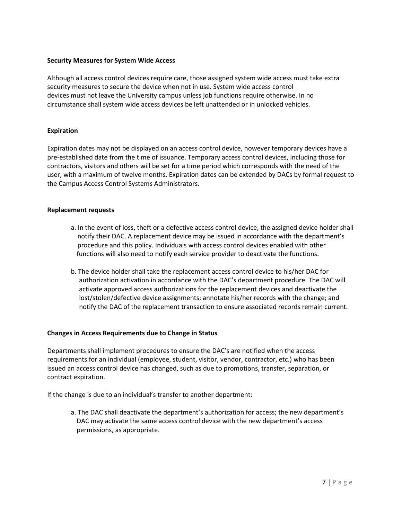#### **Security Measures for System Wide Access**

 Although all access control devices require care, those assigned system wide access must take extra circumstance shall system wide access devices be left unattended or in unlocked vehicles. security measures to secure the device when not in use. System wide access control devices must not leave the University campus unless job functions require otherwise. In no

#### **Expiration**

 Expiration dates may not be displayed on an access control device, however temporary devices have a contractors, visitors and others will be set for a time period which corresponds with the need of the pre-established date from the time of issuance. Temporary access control devices, including those for user, with a maximum of twelve months. Expiration dates can be extended by DACs by formal request to the Campus Access Control Systems Administrators.

#### **Replacement requests**

- a. In the event of loss, theft or a defective access control device, the assigned device holder shall notify their DAC. A replacement device may be issued in accordance with the department's procedure and this policy. Individuals with access control devices enabled with other functions will also need to notify each service provider to deactivate the functions.
- b. The device holder shall take the replacement access control device to his/her DAC for authorization activation in accordance with the DAC's department procedure. The DAC will activate approved access authorizations for the replacement devices and deactivate the lost/stolen/defective device assignments; annotate his/her records with the change; and notify the DAC of the replacement transaction to ensure associated records remain current.

#### **Changes in Access Requirements due to Change in Status**

 issued an access control device has changed, such as due to promotions, transfer, separation, or Departments shall implement procedures to ensure the DAC's are notified when the access requirements for an individual (employee, student, visitor, vendor, contractor, etc.) who has been contract expiration.

If the change is due to an individual's transfer to another department:

a. The DAC shall deactivate the department's authorization for access; the new department's DAC may activate the same access control device with the new department's access permissions, as appropriate.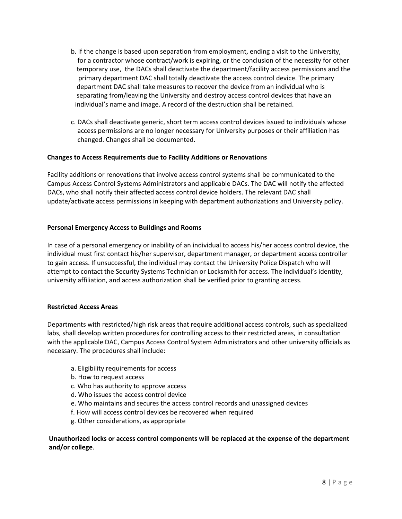- b. If the change is based upon separation from employment, ending a visit to the University, for a contractor whose contract/work is expiring, or the conclusion of the necessity for other temporary use, the DACs shall deactivate the department/facility access permissions and the primary department DAC shall totally deactivate the access control device. The primary department DAC shall take measures to recover the device from an individual who is separating from/leaving the University and destroy access control devices that have an individual's name and image. A record of the destruction shall be retained.
- c. DACs shall deactivate generic, short term access control devices issued to individuals whose access permissions are no longer necessary for University purposes or their affiliation has changed. Changes shall be documented.

#### **Changes to Access Requirements due to Facility Additions or Renovations**

 Campus Access Control Systems Administrators and applicable DACs. The DAC will notify the affected DACs, who shall notify their affected access control device holders. The relevant DAC shall Facility additions or renovations that involve access control systems shall be communicated to the update/activate access permissions in keeping with department authorizations and University policy.

#### **Personal Emergency Access to Buildings and Rooms**

 In case of a personal emergency or inability of an individual to access his/her access control device, the individual must first contact his/her supervisor, department manager, or department access controller to gain access. If unsuccessful, the individual may contact the University Police Dispatch who will attempt to contact the Security Systems Technician or Locksmith for access. The individual's identity, university affiliation, and access authorization shall be verified prior to granting access.

#### **Restricted Access Areas**

 Departments with restricted/high risk areas that require additional access controls, such as specialized labs, shall develop written procedures for controlling access to their restricted areas, in consultation with the applicable DAC, Campus Access Control System Administrators and other university officials as necessary. The procedures shall include:

- a. Eligibility requirements for access
- b. How to request access
- c. Who has authority to approve access
- d. Who issues the access control device
- e. Who maintains and secures the access control records and unassigned devices
- f. How will access control devices be recovered when required
- g. Other considerations, as appropriate

#### **Unauthorized locks or access control components will be replaced at the expense of the department and/or college**.